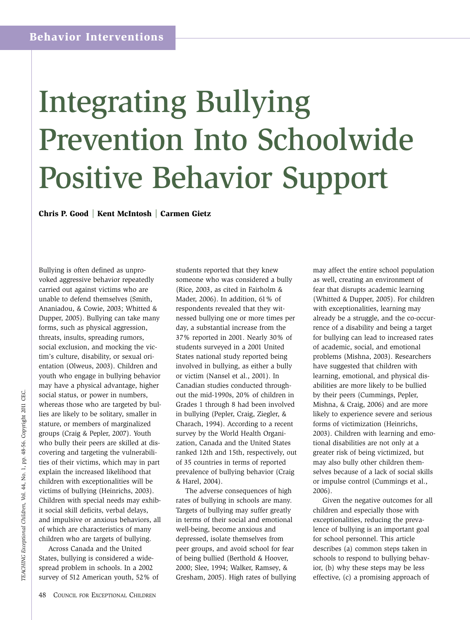# Integrating Bullying Prevention Into Schoolwide Positive Behavior Support

**Chris P. Good Kent McIntosh Carmen Gietz**

Bullying is often defined as unprovoked aggressive behavior repeatedly carried out against victims who are unable to defend themselves (Smith, Ananiadou, & Cowie, 2003; Whitted & Dupper, 2005). Bullying can take many forms, such as physical aggression, threats, insults, spreading rumors, social exclusion, and mocking the victim's culture, disability, or sexual orientation (Olweus, 2003). Children and youth who engage in bullying behavior may have a physical advantage, higher social status, or power in numbers, whereas those who are targeted by bullies are likely to be solitary, smaller in stature, or members of marginalized groups (Craig & Pepler, 2007). Youth who bully their peers are skilled at discovering and targeting the vulnerabilities of their victims, which may in part explain the increased likelihood that children with exceptionalities will be victims of bullying (Heinrichs, 2003). Children with special needs may exhibit social skill deficits, verbal delays, and impulsive or anxious behaviors, all of which are characteristics of many children who are targets of bullying.

Across Canada and the United States, bullying is considered a widespread problem in schools. In a 2002 survey of 512 American youth, 52% of students reported that they knew someone who was considered a bully (Rice, 2003, as cited in Fairholm & Mader, 2006). In addition, 61% of respondents revealed that they witnessed bullying one or more times per day, a substantial increase from the 37% reported in 2001. Nearly 30% of students surveyed in a 2001 United States national study reported being involved in bullying, as either a bully or victim (Nansel et al., 2001). In Canadian studies conducted throughout the mid-1990s, 20% of children in Grades 1 through 8 had been involved in bullying (Pepler, Craig, Ziegler, & Charach, 1994). According to a recent survey by the World Health Organization, Canada and the United States ranked 12th and 15th, respectively, out of 35 countries in terms of reported prevalence of bullying behavior (Craig & Harel, 2004).

The adverse consequences of high rates of bullying in schools are many. Targets of bullying may suffer greatly in terms of their social and emotional well-being, become anxious and depressed, isolate themselves from peer groups, and avoid school for fear of being bullied (Berthold & Hoover, 2000; Slee, 1994; Walker, Ramsey, & Gresham, 2005). High rates of bullying may affect the entire school population as well, creating an environment of fear that disrupts academic learning (Whitted & Dupper, 2005). For children with exceptionalities, learning may already be a struggle, and the co-occurrence of a disability and being a target for bullying can lead to increased rates of academic, social, and emotional problems (Mishna, 2003). Researchers have suggested that children with learning, emotional, and physical disabilities are more likely to be bullied by their peers (Cummings, Pepler, Mishna, & Craig, 2006) and are more likely to experience severe and serious forms of victimization (Heinrichs, 2003). Children with learning and emotional disabilities are not only at a greater risk of being victimized, but may also bully other children themselves because of a lack of social skills or impulse control (Cummings et al., 2006).

Given the negative outcomes for all children and especially those with exceptionalities, reducing the prevalence of bullying is an important goal for school personnel. This article describes (a) common steps taken in schools to respond to bullying behavior, (b) why these steps may be less effective, (c) a promising approach of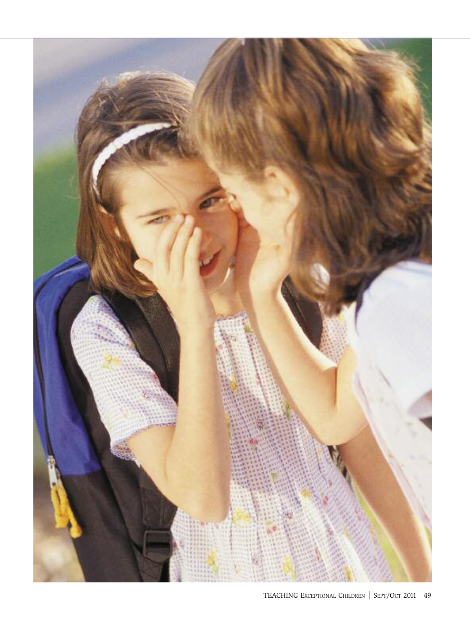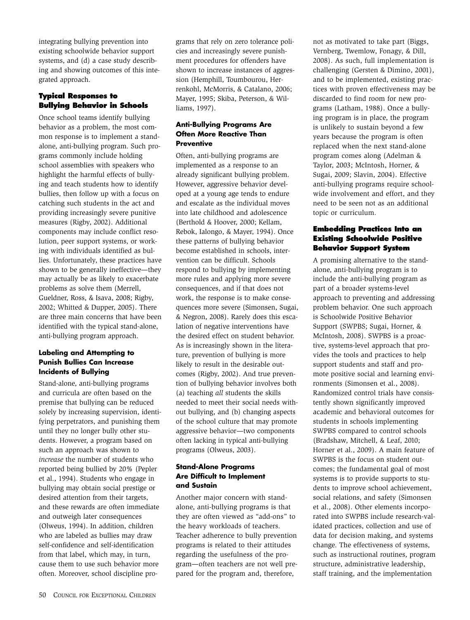integrating bullying prevention into existing schoolwide behavior support systems, and (d) a case study describing and showing outcomes of this integrated approach.

# **Typical Responses to Bullying Behavior in Schools**

Once school teams identify bullying behavior as a problem, the most common response is to implement a standalone, anti-bullying program. Such programs commonly include holding school assemblies with speakers who highlight the harmful effects of bullying and teach students how to identify bullies, then follow up with a focus on catching such students in the act and providing increasingly severe punitive measures (Rigby, 2002). Additional components may include conflict resolution, peer support systems, or working with individuals identified as bullies. Unfortunately, these practices have shown to be generally ineffective—they may actually be as likely to exacerbate problems as solve them (Merrell, Gueldner, Ross, & Isava, 2008; Rigby, 2002; Whitted & Dupper, 2005). There are three main concerns that have been identified with the typical stand-alone, anti-bullying program approach.

## **Labeling and Attempting to Punish Bullies Can Increase Incidents of Bullying**

Stand-alone, anti-bullying programs and curricula are often based on the premise that bullying can be reduced solely by increasing supervision, identifying perpetrators, and punishing them until they no longer bully other students. However, a program based on such an approach was shown to *increase* the number of students who reported being bullied by 20% (Pepler et al., 1994). Students who engage in bullying may obtain social prestige or desired attention from their targets, and these rewards are often immediate and outweigh later consequences (Olweus, 1994). In addition, children who are labeled as bullies may draw self-confidence and self-identification from that label, which may, in turn, cause them to use such behavior more often. Moreover, school discipline programs that rely on zero tolerance policies and increasingly severe punishment procedures for offenders have shown to increase instances of aggression (Hemphill, Toumbourou, Herrenkohl, McMorris, & Catalano, 2006; Mayer, 1995; Skiba, Peterson, & Williams, 1997).

# **Anti-Bullying Programs Are Often More Reactive Than Preventive**

Often, anti-bullying programs are implemented as a response to an already significant bullying problem. However, aggressive behavior developed at a young age tends to endure and escalate as the individual moves into late childhood and adolescence (Berthold & Hoover, 2000; Kellam, Rebok, Ialongo, & Mayer, 1994). Once these patterns of bullying behavior become established in schools, intervention can be difficult. Schools respond to bullying by implementing more rules and applying more severe consequences, and if that does not work, the response is to make consequences more severe (Simonsen, Sugai, & Negron, 2008). Rarely does this escalation of negative interventions have the desired effect on student behavior. As is increasingly shown in the literature, prevention of bullying is more likely to result in the desirable outcomes (Rigby, 2002). And true prevention of bullying behavior involves both (a) teaching *all* students the skills needed to meet their social needs without bullying, and (b) changing aspects of the school culture that may promote aggressive behavior—two components often lacking in typical anti-bullying programs (Olweus, 2003).

# **Stand-Alone Programs Are Difficult to Implement and Sustain**

Another major concern with standalone, anti-bullying programs is that they are often viewed as "add-ons" to the heavy workloads of teachers. Teacher adherence to bully prevention programs is related to their attitudes regarding the usefulness of the program—often teachers are not well prepared for the program and, therefore,

not as motivated to take part (Biggs, Vernberg, Twemlow, Fonagy, & Dill, 2008). As such, full implementation is challenging (Gersten & Dimino, 2001), and to be implemented, existing practices with proven effectiveness may be discarded to find room for new programs (Latham, 1988). Once a bullying program is in place, the program is unlikely to sustain beyond a few years because the program is often replaced when the next stand-alone program comes along (Adelman & Taylor, 2003; McIntosh, Horner, & Sugai, 2009; Slavin, 2004). Effective anti-bullying programs require schoolwide involvement and effort, and they need to be seen not as an additional topic or curriculum.

## **Embedding Practices Into an Existing Schoolwide Positive Behavior Support System**

A promising alternative to the standalone, anti-bullying program is to include the anti-bullying program as part of a broader systems-level approach to preventing and addressing problem behavior. One such approach is Schoolwide Positive Behavior Support (SWPBS; Sugai, Horner, & McIntosh, 2008). SWPBS is a proactive, systems-level approach that provides the tools and practices to help support students and staff and promote positive social and learning environments (Simonsen et al., 2008). Randomized control trials have consistently shown significantly improved academic and behavioral outcomes for students in schools implementing SWPBS compared to control schools (Bradshaw, Mitchell, & Leaf, 2010; Horner et al., 2009). A main feature of SWPBS is the focus on student outcomes; the fundamental goal of most systems is to provide supports to students to improve school achievement, social relations, and safety (Simonsen et al., 2008). Other elements incorporated into SWPBS include research-validated practices, collection and use of data for decision making, and systems change. The effectiveness of systems, such as instructional routines, program structure, administrative leadership, staff training, and the implementation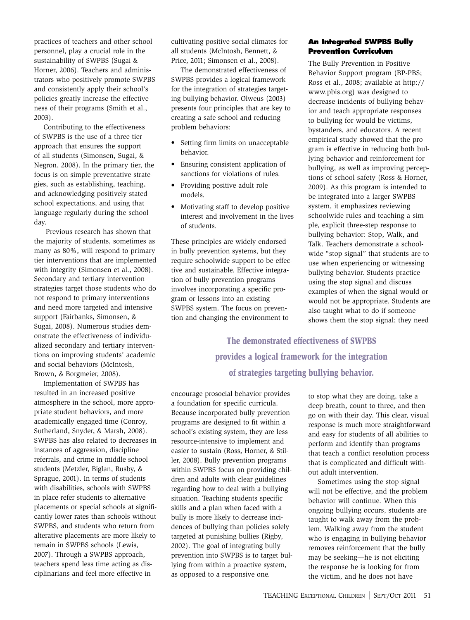practices of teachers and other school personnel, play a crucial role in the sustainability of SWPBS (Sugai & Horner, 2006). Teachers and administrators who positively promote SWPBS and consistently apply their school's policies greatly increase the effectiveness of their programs (Smith et al., 2003).

Contributing to the effectiveness of SWPBS is the use of a three-tier approach that ensures the support of all students (Simonsen, Sugai, & Negron, 2008). In the primary tier, the focus is on simple preventative strategies, such as establishing, teaching, and acknowledging positively stated school expectations, and using that language regularly during the school day.

Previous research has shown that the majority of students, sometimes as many as 80%, will respond to primary tier interventions that are implemented with integrity (Simonsen et al., 2008). Secondary and tertiary intervention strategies target those students who do not respond to primary interventions and need more targeted and intensive support (Fairbanks, Simonsen, & Sugai, 2008). Numerous studies demonstrate the effectiveness of individualized secondary and tertiary interventions on improving students' academic and social behaviors (McIntosh, Brown, & Borgmeier, 2008).

Implementation of SWPBS has resulted in an increased positive atmosphere in the school, more appropriate student behaviors, and more academically engaged time (Conroy, Sutherland, Snyder, & Marsh, 2008). SWPBS has also related to decreases in instances of aggression, discipline referrals, and crime in middle school students (Metzler, Biglan, Rusby, & Sprague, 2001). In terms of students with disabilities, schools with SWPBS in place refer students to alternative placements or special schools at significantly lower rates than schools without SWPBS, and students who return from alterative placements are more likely to remain in SWPBS schools (Lewis, 2007). Through a SWPBS approach, teachers spend less time acting as disciplinarians and feel more effective in

cultivating positive social climates for all students (McIntosh, Bennett, & Price, 2011; Simonsen et al., 2008).

The demonstrated effectiveness of SWPBS provides a logical framework for the integration of strategies targeting bullying behavior. Olweus (2003) presents four principles that are key to creating a safe school and reducing problem behaviors:

- Setting firm limits on unacceptable behavior.
- Ensuring consistent application of sanctions for violations of rules.
- Providing positive adult role models.
- Motivating staff to develop positive interest and involvement in the lives of students.

These principles are widely endorsed in bully prevention systems, but they require schoolwide support to be effective and sustainable. Effective integration of bully prevention programs involves incorporating a specific program or lessons into an existing SWPBS system. The focus on prevention and changing the environment to

# **An Integrated SWPBS Bully Prevention Curriculum**

The Bully Prevention in Positive Behavior Support program (BP-PBS; Ross et al., 2008; available at http:// www.pbis.org) was designed to decrease incidents of bullying behavior and teach appropriate responses to bullying for would-be victims, bystanders, and educators. A recent empirical study showed that the program is effective in reducing both bullying behavior and reinforcement for bullying, as well as improving perceptions of school safety (Ross & Horner, 2009). As this program is intended to be integrated into a larger SWPBS system, it emphasizes reviewing schoolwide rules and teaching a simple, explicit three-step response to bullying behavior: Stop, Walk, and Talk. Teachers demonstrate a schoolwide "stop signal" that students are to use when experiencing or witnessing bullying behavior. Students practice using the stop signal and discuss examples of when the signal would or would not be appropriate. Students are also taught what to do if someone shows them the stop signal; they need

**The demonstrated effectiveness of SWPBS provides a logical framework for the integration of strategies targeting bullying behavior.**

encourage prosocial behavior provides a foundation for specific curricula. Because incorporated bully prevention programs are designed to fit within a school's existing system, they are less resource-intensive to implement and easier to sustain (Ross, Horner, & Stiller, 2008). Bully prevention programs within SWPBS focus on providing children and adults with clear guidelines regarding how to deal with a bullying situation. Teaching students specific skills and a plan when faced with a bully is more likely to decrease incidences of bullying than policies solely targeted at punishing bullies (Rigby, 2002). The goal of integrating bully prevention into SWPBS is to target bullying from within a proactive system, as opposed to a responsive one.

to stop what they are doing, take a deep breath, count to three, and then go on with their day. This clear, visual response is much more straightforward and easy for students of all abilities to perform and identify than programs that teach a conflict resolution process that is complicated and difficult without adult intervention.

Sometimes using the stop signal will not be effective, and the problem behavior will continue. When this ongoing bullying occurs, students are taught to walk away from the problem. Walking away from the student who is engaging in bullying behavior removes reinforcement that the bully may be seeking—he is not eliciting the response he is looking for from the victim, and he does not have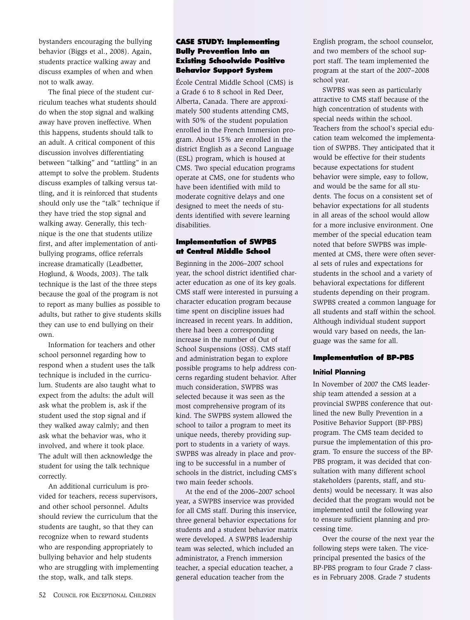bystanders encouraging the bullying behavior (Biggs et al., 2008). Again, students practice walking away and discuss examples of when and when not to walk away.

The final piece of the student curriculum teaches what students should do when the stop signal and walking away have proven ineffective. When this happens, students should talk to an adult. A critical component of this discussion involves differentiating between "talking" and "tattling" in an attempt to solve the problem. Students discuss examples of talking versus tattling, and it is reinforced that students should only use the "talk" technique if they have tried the stop signal and walking away. Generally, this technique is the one that students utilize first, and after implementation of antibullying programs, office referrals increase dramatically (Leadbetter, Hoglund, & Woods, 2003). The talk technique is the last of the three steps because the goal of the program is not to report as many bullies as possible to adults, but rather to give students skills they can use to end bullying on their own.

Information for teachers and other school personnel regarding how to respond when a student uses the talk technique is included in the curriculum. Students are also taught what to expect from the adults: the adult will ask what the problem is, ask if the student used the stop signal and if they walked away calmly; and then ask what the behavior was, who it involved, and where it took place. The adult will then acknowledge the student for using the talk technique correctly.

An additional curriculum is provided for teachers, recess supervisors, and other school personnel. Adults should review the curriculum that the students are taught, so that they can recognize when to reward students who are responding appropriately to bullying behavior and help students who are struggling with implementing the stop, walk, and talk steps.

## **CASE STUDY: Implementing Bully Prevention Into an Existing Schoolwide Positive Behavior Support System**

École Central Middle School (CMS) is a Grade 6 to 8 school in Red Deer, Alberta, Canada. There are approximately 500 students attending CMS, with 50% of the student population enrolled in the French Immersion program. About 15% are enrolled in the district English as a Second Language (ESL) program, which is housed at CMS. Two special education programs operate at CMS, one for students who have been identified with mild to moderate cognitive delays and one designed to meet the needs of students identified with severe learning disabilities.

## **Implementation of SWPBS at Central Middle School**

Beginning in the 2006–2007 school year, the school district identified character education as one of its key goals. CMS staff were interested in pursuing a character education program because time spent on discipline issues had increased in recent years. In addition, there had been a corresponding increase in the number of Out of School Suspensions (OSS). CMS staff and administration began to explore possible programs to help address concerns regarding student behavior. After much consideration, SWPBS was selected because it was seen as the most comprehensive program of its kind. The SWPBS system allowed the school to tailor a program to meet its unique needs, thereby providing support to students in a variety of ways. SWPBS was already in place and proving to be successful in a number of schools in the district, including CMS's two main feeder schools.

At the end of the 2006–2007 school year, a SWPBS inservice was provided for all CMS staff. During this inservice, three general behavior expectations for students and a student behavior matrix were developed. A SWPBS leadership team was selected, which included an administrator, a French immersion teacher, a special education teacher, a general education teacher from the

English program, the school counselor, and two members of the school support staff. The team implemented the program at the start of the 2007–2008 school year.

SWPBS was seen as particularly attractive to CMS staff because of the high concentration of students with special needs within the school. Teachers from the school's special education team welcomed the implementation of SWPBS. They anticipated that it would be effective for their students because expectations for student behavior were simple, easy to follow, and would be the same for all students. The focus on a consistent set of behavior expectations for all students in all areas of the school would allow for a more inclusive environment. One member of the special education team noted that before SWPBS was implemented at CMS, there were often several sets of rules and expectations for students in the school and a variety of behavioral expectations for different students depending on their program. SWPBS created a common language for all students and staff within the school. Although individual student support would vary based on needs, the language was the same for all.

# **Implementation of BP-PBS**

# **Initial Planning**

In November of 2007 the CMS leadership team attended a session at a provincial SWPBS conference that outlined the new Bully Prevention in a Positive Behavior Support (BP-PBS) program. The CMS team decided to pursue the implementation of this program. To ensure the success of the BP-PBS program, it was decided that consultation with many different school stakeholders (parents, staff, and students) would be necessary. It was also decided that the program would not be implemented until the following year to ensure sufficient planning and processing time.

Over the course of the next year the following steps were taken. The viceprincipal presented the basics of the BP-PBS program to four Grade 7 classes in February 2008. Grade 7 students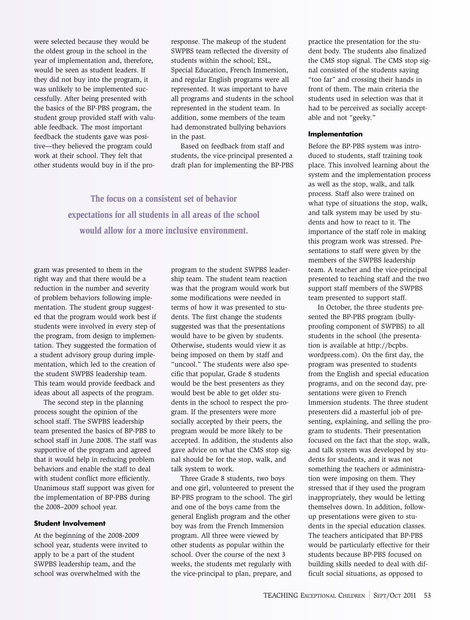were selected because they would be the oldest group in the school in the year of implementation and, therefore, would be seen as student leaders. If they did not buy into the program, it was unlikely to be implemented successfully. After being presented with the basics of the BP-PBS program, the student group provided staff with valuable feedback. The most important feedback the students gave was positive—they believed the program could work at their school. They felt that other students would buy in if the proresponse. The makeup of the student SWPBS team reflected the diversity of students within the school; ESL, Special Education, French Immersion, and regular English programs were all represented. It was important to have all programs and students in the school represented in the student team. In addition, some members of the team had demonstrated bullying behaviors in the past.

Based on feedback from staff and students, the vice-principal presented a draft plan for implementing the BP-PBS

**The focus on a consistent set of behavior expectations for all students in all areas of the school would allow for a more inclusive environment.**

gram was presented to them in the right way and that there would be a reduction in the number and severity of problem behaviors following implementation. The student group suggested that the program would work best if students were involved in every step of the program, from design to implementation. They suggested the formation of a student advisory group during implementation, which led to the creation of the student SWPBS leadership team. This team would provide feedback and ideas about all aspects of the program.

The second step in the planning process sought the opinion of the school staff. The SWPBS leadership team presented the basics of BP-PBS to school staff in June 2008. The staff was supportive of the program and agreed that it would help in reducing problem behaviors and enable the staff to deal with student conflict more efficiently. Unanimous staff support was given for the implementation of BP-PBS during the 2008–2009 school year.

#### **Student Involvement**

At the beginning of the 2008-2009 school year, students were invited to apply to be a part of the student SWPBS leadership team, and the school was overwhelmed with the

program to the student SWPBS leadership team. The student team reaction was that the program would work but some modifications were needed in terms of how it was presented to students. The first change the students suggested was that the presentations would have to be given by students. Otherwise, students would view it as being imposed on them by staff and "uncool." The students were also specific that popular, Grade 8 students would be the best presenters as they would best be able to get older students in the school to respect the program. If the presenters were more socially accepted by their peers, the program would be more likely to be accepted. In addition, the students also gave advice on what the CMS stop signal should be for the stop, walk, and talk system to work.

Three Grade 8 students, two boys and one girl, volunteered to present the BP-PBS program to the school. The girl and one of the boys came from the general English program and the other boy was from the French Immersion program. All three were viewed by other students as popular within the school. Over the course of the next 3 weeks, the students met regularly with the vice-principal to plan, prepare, and

practice the presentation for the student body. The students also finalized the CMS stop signal. The CMS stop signal consisted of the students saying "too far" and crossing their hands in front of them. The main criteria the students used in selection was that it had to be perceived as socially acceptable and not "geeky."

#### **Implementation**

Before the BP-PBS system was introduced to students, staff training took place. This involved learning about the system and the implementation process as well as the stop, walk, and talk process. Staff also were trained on what type of situations the stop, walk, and talk system may be used by students and how to react to it. The importance of the staff role in making this program work was stressed. Presentations to staff were given by the members of the SWPBS leadership team. A teacher and the vice-principal presented to teaching staff and the two support staff members of the SWPBS team presented to support staff.

In October, the three students presented the BP-PBS program (bullyproofing component of SWPBS) to all students in the school (the presentation is available at http://bcpbs. wordpress.com). On the first day, the program was presented to students from the English and special education programs, and on the second day, presentations were given to French Immersion students. The three student presenters did a masterful job of presenting, explaining, and selling the program to students. Their presentation focused on the fact that the stop, walk, and talk system was developed by students for students, and it was not something the teachers or administration were imposing on them. They stressed that if they used the program inappropriately, they would be letting themselves down. In addition, followup presentations were given to students in the special education classes. The teachers anticipated that BP-PBS would be particularly effective for their students because BP-PBS focused on building skills needed to deal with difficult social situations, as opposed to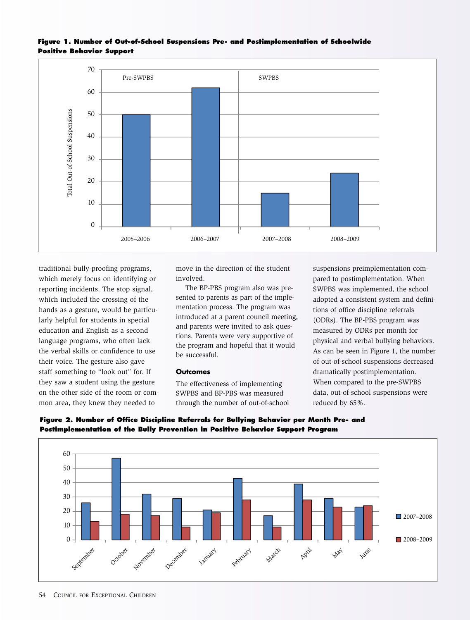



traditional bully-proofing programs, which merely focus on identifying or reporting incidents. The stop signal, which included the crossing of the hands as a gesture, would be particularly helpful for students in special education and English as a second language programs, who often lack the verbal skills or confidence to use their voice. The gesture also gave staff something to "look out" for. If they saw a student using the gesture on the other side of the room or common area, they knew they needed to

move in the direction of the student involved.

The BP-PBS program also was presented to parents as part of the implementation process. The program was introduced at a parent council meeting, and parents were invited to ask questions. Parents were very supportive of the program and hopeful that it would be successful.

### **Outcomes**

The effectiveness of implementing SWPBS and BP-PBS was measured through the number of out-of-school suspensions preimplementation compared to postimplementation. When SWPBS was implemented, the school adopted a consistent system and definitions of office discipline referrals (ODRs). The BP-PBS program was measured by ODRs per month for physical and verbal bullying behaviors. As can be seen in Figure 1, the number of out-of-school suspensions decreased dramatically postimplementation. When compared to the pre-SWPBS data, out-of-school suspensions were reduced by 65%.



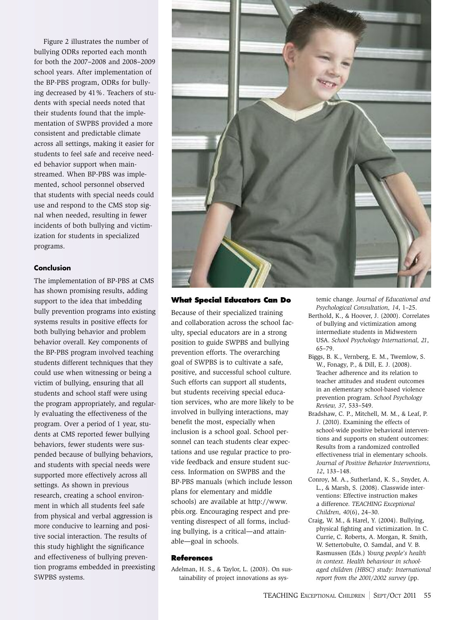Figure 2 illustrates the number of bullying ODRs reported each month for both the 2007–2008 and 2008–2009 school years. After implementation of the BP-PBS program, ODRs for bullying decreased by 41%. Teachers of students with special needs noted that their students found that the implementation of SWPBS provided a more consistent and predictable climate across all settings, making it easier for students to feel safe and receive needed behavior support when mainstreamed. When BP-PBS was implemented, school personnel observed that students with special needs could use and respond to the CMS stop signal when needed, resulting in fewer incidents of both bullying and victimization for students in specialized programs.

## **Conclusion**

The implementation of BP-PBS at CMS has shown promising results, adding support to the idea that imbedding bully prevention programs into existing systems results in positive effects for both bullying behavior and problem behavior overall. Key components of the BP-PBS program involved teaching students different techniques that they could use when witnessing or being a victim of bullying, ensuring that all students and school staff were using the program appropriately, and regularly evaluating the effectiveness of the program. Over a period of 1 year, students at CMS reported fewer bullying behaviors, fewer students were suspended because of bullying behaviors, and students with special needs were supported more effectively across all settings. As shown in previous research, creating a school environment in which all students feel safe from physical and verbal aggression is more conducive to learning and positive social interaction. The results of this study highlight the significance and effectiveness of bullying prevention programs embedded in preexisting SWPBS systems.



#### **What Special Educators Can Do**

Because of their specialized training and collaboration across the school faculty, special educators are in a strong position to guide SWPBS and bullying prevention efforts. The overarching goal of SWPBS is to cultivate a safe, positive, and successful school culture. Such efforts can support all students, but students receiving special education services, who are more likely to be involved in bullying interactions, may benefit the most, especially when inclusion is a school goal. School personnel can teach students clear expectations and use regular practice to provide feedback and ensure student success. Information on SWPBS and the BP-PBS manuals (which include lesson plans for elementary and middle schools) are available at http://www. pbis.org. Encouraging respect and preventing disrespect of all forms, including bullying, is a critical—and attainable—goal in schools.

#### **References**

Adelman, H. S., & Taylor, L. (2003). On sustainability of project innovations as systemic change. *Journal of Educational and Psychological Consultation, 14*, 1–25.

- Berthold, K., & Hoover, J. (2000). Correlates of bullying and victimization among intermediate students in Midwestern USA. *School Psychology International, 21*, 65–79.
- Biggs, B. K., Vernberg, E. M., Twemlow, S. W., Fonagy, P., & Dill, E. J. (2008). Teacher adherence and its relation to teacher attitudes and student outcomes in an elementary school-based violence prevention program. *School Psychology Review, 37,* 533–549.
- Bradshaw, C. P., Mitchell, M. M., & Leaf, P. J. (2010). Examining the effects of school-wide positive behavioral interventions and supports on student outcomes: Results from a randomized controlled effectiveness trial in elementary schools. *Journal of Positive Behavior Interventions, 12*, 133–148.
- Conroy, M. A., Sutherland, K. S., Snyder, A. L., & Marsh, S. (2008). Classwide interventions: Effective instruction makes a difference. *TEACHING Exceptional Children, 40*(6), 24–30.
- Craig, W. M., & Harel, Y. (2004). Bullying, physical fighting and victimization. In C. Currie, C. Roberts, A. Morgan, R. Smith, W. Settertobulte, O. Samdal, and V. B. Rasmussen (Eds.) *Young people's health in context. Health behaviour in schoolaged children (HBSC) study: International report from the 2001/2002 survey* (pp.